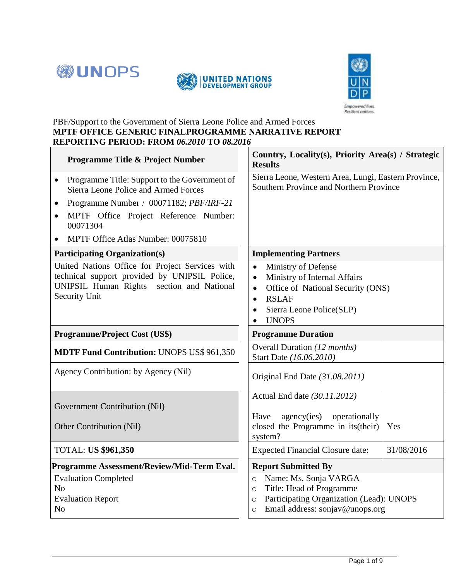





#### PBF/Support to the Government of Sierra Leone Police and Armed Forces **MPTF OFFICE GENERIC FINALPROGRAMME NARRATIVE REPORT REPORTING PERIOD: FROM** *06.2010* **TO** *08.2016*

| <b>Programme Title &amp; Project Number</b>                                                                                                                           | Country, Locality(s), Priority Area(s) / Strategic<br><b>Results</b>                                                                                                                                                               |  |  |  |  |
|-----------------------------------------------------------------------------------------------------------------------------------------------------------------------|------------------------------------------------------------------------------------------------------------------------------------------------------------------------------------------------------------------------------------|--|--|--|--|
| Programme Title: Support to the Government of<br>$\bullet$<br>Sierra Leone Police and Armed Forces                                                                    | Sierra Leone, Western Area, Lungi, Eastern Province,<br>Southern Province and Northern Province                                                                                                                                    |  |  |  |  |
| Programme Number: 00071182; PBF/IRF-21<br>$\bullet$                                                                                                                   |                                                                                                                                                                                                                                    |  |  |  |  |
| MPTF Office Project Reference Number:<br>$\bullet$<br>00071304                                                                                                        |                                                                                                                                                                                                                                    |  |  |  |  |
| MPTF Office Atlas Number: 00075810                                                                                                                                    |                                                                                                                                                                                                                                    |  |  |  |  |
| <b>Participating Organization(s)</b>                                                                                                                                  | <b>Implementing Partners</b>                                                                                                                                                                                                       |  |  |  |  |
| United Nations Office for Project Services with<br>technical support provided by UNIPSIL Police,<br>UNIPSIL Human Rights section and National<br><b>Security Unit</b> | Ministry of Defense<br>$\bullet$<br>Ministry of Internal Affairs<br>$\bullet$<br>Office of National Security (ONS)<br>$\bullet$<br><b>RSLAF</b><br>$\bullet$<br>Sierra Leone Police(SLP)<br>$\bullet$<br><b>UNOPS</b><br>$\bullet$ |  |  |  |  |
| <b>Programme/Project Cost (US\$)</b>                                                                                                                                  | <b>Programme Duration</b>                                                                                                                                                                                                          |  |  |  |  |
| <b>MDTF Fund Contribution: UNOPS US\$ 961,350</b>                                                                                                                     | Overall Duration (12 months)<br>Start Date (16.06.2010)                                                                                                                                                                            |  |  |  |  |
| Agency Contribution: by Agency (Nil)                                                                                                                                  | Original End Date (31.08.2011)                                                                                                                                                                                                     |  |  |  |  |
| Government Contribution (Nil)                                                                                                                                         | Actual End date (30.11.2012)                                                                                                                                                                                                       |  |  |  |  |
| Other Contribution (Nil)                                                                                                                                              | agency(ies)<br>operationally<br>Have<br>closed the Programme in its (their)<br>Yes<br>system?                                                                                                                                      |  |  |  |  |
| <b>TOTAL: US \$961,350</b>                                                                                                                                            | <b>Expected Financial Closure date:</b><br>31/08/2016                                                                                                                                                                              |  |  |  |  |
| Programme Assessment/Review/Mid-Term Eval.                                                                                                                            | <b>Report Submitted By</b>                                                                                                                                                                                                         |  |  |  |  |
| <b>Evaluation Completed</b><br>N <sub>o</sub><br><b>Evaluation Report</b><br>N <sub>o</sub>                                                                           | Name: Ms. Sonja VARGA<br>$\circ$<br>Title: Head of Programme<br>$\circ$<br>Participating Organization (Lead): UNOPS<br>$\circ$<br>Email address: sonjav@unops.org<br>$\circ$                                                       |  |  |  |  |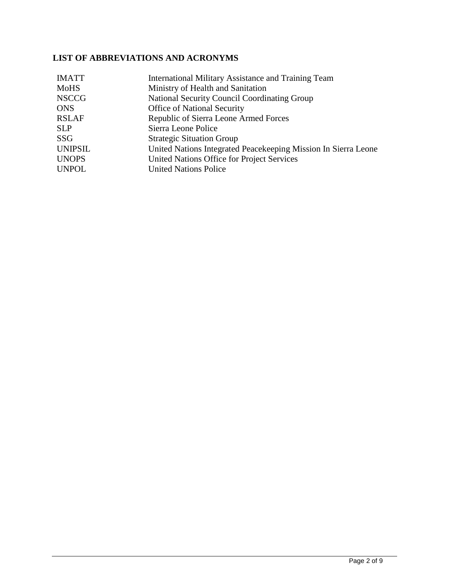# **LIST OF ABBREVIATIONS AND ACRONYMS**

| International Military Assistance and Training Team            |
|----------------------------------------------------------------|
| Ministry of Health and Sanitation                              |
| National Security Council Coordinating Group                   |
| <b>Office of National Security</b>                             |
| Republic of Sierra Leone Armed Forces                          |
| Sierra Leone Police                                            |
| <b>Strategic Situation Group</b>                               |
| United Nations Integrated Peacekeeping Mission In Sierra Leone |
| United Nations Office for Project Services                     |
| <b>United Nations Police</b>                                   |
|                                                                |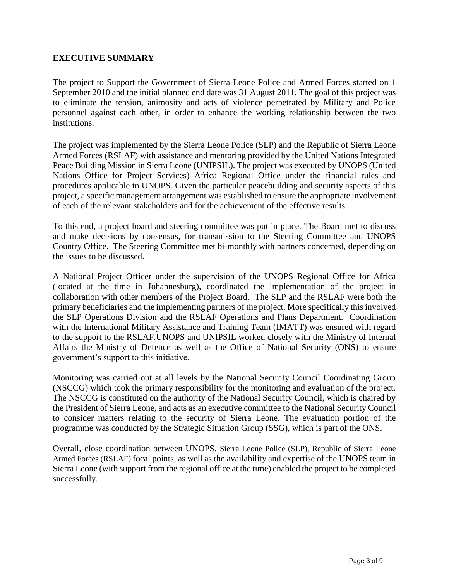#### **EXECUTIVE SUMMARY**

The project to Support the Government of Sierra Leone Police and Armed Forces started on 1 September 2010 and the initial planned end date was 31 August 2011. The goal of this project was to eliminate the tension, animosity and acts of violence perpetrated by Military and Police personnel against each other, in order to enhance the working relationship between the two institutions.

The project was implemented by the Sierra Leone Police (SLP) and the Republic of Sierra Leone Armed Forces (RSLAF) with assistance and mentoring provided by the United Nations Integrated Peace Building Mission in Sierra Leone (UNIPSIL). The project was executed by UNOPS (United Nations Office for Project Services) Africa Regional Office under the financial rules and procedures applicable to UNOPS. Given the particular peacebuilding and security aspects of this project, a specific management arrangement was established to ensure the appropriate involvement of each of the relevant stakeholders and for the achievement of the effective results.

To this end, a project board and steering committee was put in place. The Board met to discuss and make decisions by consensus, for transmission to the Steering Committee and UNOPS Country Office. The Steering Committee met bi-monthly with partners concerned, depending on the issues to be discussed.

A National Project Officer under the supervision of the UNOPS Regional Office for Africa (located at the time in Johannesburg), coordinated the implementation of the project in collaboration with other members of the Project Board. The SLP and the RSLAF were both the primary beneficiaries and the implementing partners of the project. More specifically this involved the SLP Operations Division and the RSLAF Operations and Plans Department. Coordination with the International Military Assistance and Training Team (IMATT) was ensured with regard to the support to the RSLAF.UNOPS and UNIPSIL worked closely with the Ministry of Internal Affairs the Ministry of Defence as well as the Office of National Security (ONS) to ensure government's support to this initiative.

Monitoring was carried out at all levels by the National Security Council Coordinating Group (NSCCG) which took the primary responsibility for the monitoring and evaluation of the project. The NSCCG is constituted on the authority of the National Security Council, which is chaired by the President of Sierra Leone, and acts as an executive committee to the National Security Council to consider matters relating to the security of Sierra Leone. The evaluation portion of the programme was conducted by the Strategic Situation Group (SSG), which is part of the ONS.

Overall, close coordination between UNOPS, Sierra Leone Police (SLP), Republic of Sierra Leone Armed Forces (RSLAF) focal points, as well as the availability and expertise of the UNOPS team in Sierra Leone (with support from the regional office at the time) enabled the project to be completed successfully.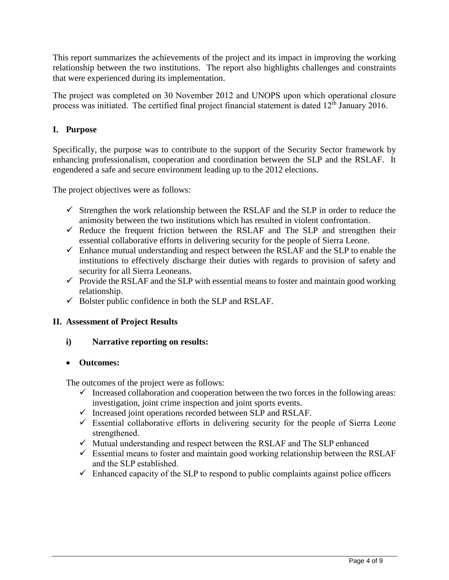This report summarizes the achievements of the project and its impact in improving the working relationship between the two institutions. The report also highlights challenges and constraints that were experienced during its implementation.

The project was completed on 30 November 2012 and UNOPS upon which operational closure process was initiated. The certified final project financial statement is dated  $12<sup>th</sup>$  January 2016.

#### **I. Purpose**

Specifically, the purpose was to contribute to the support of the Security Sector framework by enhancing professionalism, cooperation and coordination between the SLP and the RSLAF. It engendered a safe and secure environment leading up to the 2012 elections.

The project objectives were as follows:

- $\checkmark$  Strengthen the work relationship between the RSLAF and the SLP in order to reduce the animosity between the two institutions which has resulted in violent confrontation.
- $\checkmark$  Reduce the frequent friction between the RSLAF and The SLP and strengthen their essential collaborative efforts in delivering security for the people of Sierra Leone.
- $\checkmark$  Enhance mutual understanding and respect between the RSLAF and the SLP to enable the institutions to effectively discharge their duties with regards to provision of safety and security for all Sierra Leoneans.
- $\checkmark$  Provide the RSLAF and the SLP with essential means to foster and maintain good working relationship.
- $\checkmark$  Bolster public confidence in both the SLP and RSLAF.

#### **II. Assessment of Project Results**

#### **i) Narrative reporting on results:**

#### **Outcomes:**

The outcomes of the project were as follows:

- $\checkmark$  Increased collaboration and cooperation between the two forces in the following areas: investigation, joint crime inspection and joint sports events.
- $\checkmark$  Increased joint operations recorded between SLP and RSLAF.
- $\checkmark$  Essential collaborative efforts in delivering security for the people of Sierra Leone strengthened.
- $\checkmark$  Mutual understanding and respect between the RSLAF and The SLP enhanced
- $\checkmark$  Essential means to foster and maintain good working relationship between the RSLAF and the SLP established.
- $\checkmark$  Enhanced capacity of the SLP to respond to public complaints against police officers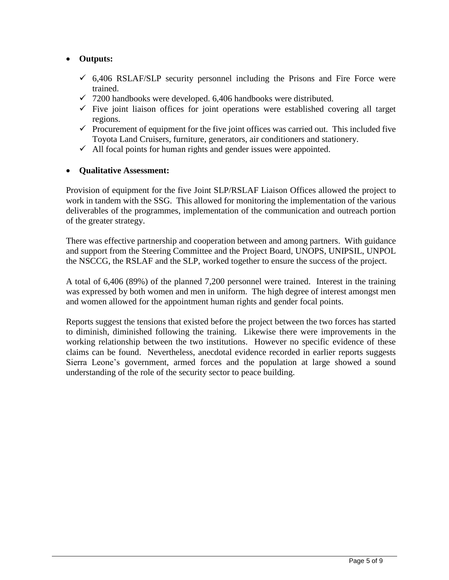## **Outputs:**

- $6,406$  RSLAF/SLP security personnel including the Prisons and Fire Force were trained.
- $\checkmark$  7200 handbooks were developed. 6,406 handbooks were distributed.
- $\checkmark$  Five joint liaison offices for joint operations were established covering all target regions.
- $\checkmark$  Procurement of equipment for the five joint offices was carried out. This included five Toyota Land Cruisers, furniture, generators, air conditioners and stationery.
- $\checkmark$  All focal points for human rights and gender issues were appointed.

### **Qualitative Assessment:**

Provision of equipment for the five Joint SLP/RSLAF Liaison Offices allowed the project to work in tandem with the SSG. This allowed for monitoring the implementation of the various deliverables of the programmes, implementation of the communication and outreach portion of the greater strategy.

There was effective partnership and cooperation between and among partners. With guidance and support from the Steering Committee and the Project Board, UNOPS, UNIPSIL, UNPOL the NSCCG, the RSLAF and the SLP, worked together to ensure the success of the project.

A total of 6,406 (89%) of the planned 7,200 personnel were trained. Interest in the training was expressed by both women and men in uniform. The high degree of interest amongst men and women allowed for the appointment human rights and gender focal points.

Reports suggest the tensions that existed before the project between the two forces has started to diminish, diminished following the training. Likewise there were improvements in the working relationship between the two institutions. However no specific evidence of these claims can be found. Nevertheless, anecdotal evidence recorded in earlier reports suggests Sierra Leone's government, armed forces and the population at large showed a sound understanding of the role of the security sector to peace building.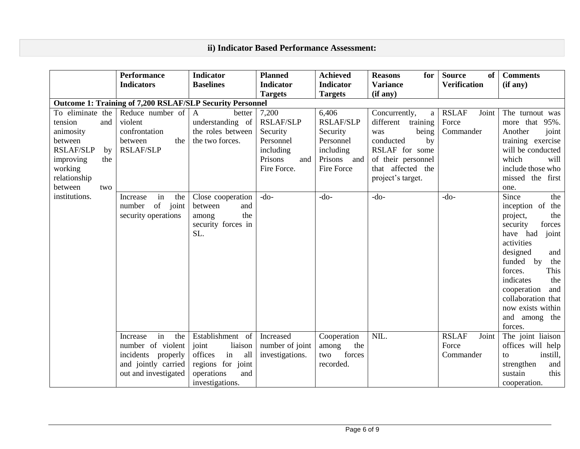# **ii) Indicator Based Performance Assessment:**

|                                                                                                                                                                        | <b>Performance</b>                                                                                                                                          | <b>Indicator</b>                                                                                                                                                       | <b>Planned</b>                                                                                             | <b>Achieved</b>                                                                                        | <b>Reasons</b><br>for                                                                                                                                                   | <b>Source</b><br>of<br><b>Verification</b>            | <b>Comments</b>                                                                                                                                                                                                                                                                                                                                                                                                                                              |  |
|------------------------------------------------------------------------------------------------------------------------------------------------------------------------|-------------------------------------------------------------------------------------------------------------------------------------------------------------|------------------------------------------------------------------------------------------------------------------------------------------------------------------------|------------------------------------------------------------------------------------------------------------|--------------------------------------------------------------------------------------------------------|-------------------------------------------------------------------------------------------------------------------------------------------------------------------------|-------------------------------------------------------|--------------------------------------------------------------------------------------------------------------------------------------------------------------------------------------------------------------------------------------------------------------------------------------------------------------------------------------------------------------------------------------------------------------------------------------------------------------|--|
|                                                                                                                                                                        | <b>Indicators</b>                                                                                                                                           | <b>Baselines</b>                                                                                                                                                       | <b>Indicator</b><br><b>Targets</b>                                                                         | <b>Indicator</b><br><b>Targets</b>                                                                     | <b>Variance</b><br>(if any)                                                                                                                                             |                                                       | (if any)                                                                                                                                                                                                                                                                                                                                                                                                                                                     |  |
|                                                                                                                                                                        | Outcome 1: Training of 7,200 RSLAF/SLP Security Personnel                                                                                                   |                                                                                                                                                                        |                                                                                                            |                                                                                                        |                                                                                                                                                                         |                                                       |                                                                                                                                                                                                                                                                                                                                                                                                                                                              |  |
| To eliminate the<br>tension<br>and<br>animosity<br>between<br><b>RSLAF/SLP</b><br>by<br>improving<br>the<br>working<br>relationship<br>between<br>two<br>institutions. | Reduce number of<br>violent<br>confrontation<br>the<br>between<br><b>RSLAF/SLP</b><br>in<br>the<br>Increase<br>of<br>joint<br>number<br>security operations | $\mathbf{A}$<br>better<br>understanding of<br>the roles between<br>the two forces.<br>Close cooperation<br>and<br>between<br>the<br>among<br>security forces in<br>SL. | 7,200<br><b>RSLAF/SLP</b><br>Security<br>Personnel<br>including<br>Prisons<br>and<br>Fire Force.<br>$-do-$ | 6,406<br><b>RSLAF/SLP</b><br>Security<br>Personnel<br>including<br>Prisons and<br>Fire Force<br>$-do-$ | Concurrently,<br>a<br>different training<br>being<br>was<br>conducted<br>by<br>RSLAF for some<br>of their personnel<br>that affected the<br>project's target.<br>$-do-$ | <b>RSLAF</b><br>Joint<br>Force<br>Commander<br>$-do-$ | The turnout was<br>more that 95%.<br>Another<br>joint<br>training exercise<br>will be conducted<br>which<br>will<br>include those who<br>missed the first<br>one.<br>Since<br>the<br>inception of the<br>the<br>project,<br>security<br>forces<br>joint<br>have had<br>activities<br>designed<br>and<br>funded by<br>the<br>This<br>forces.<br>indicates<br>the<br>cooperation<br>and<br>collaboration that<br>now exists within<br>and among the<br>forces. |  |
|                                                                                                                                                                        | in<br>the<br>Increase<br>number of violent                                                                                                                  | Establishment of<br>liaison<br>joint                                                                                                                                   | Increased<br>number of joint                                                                               | Cooperation<br>the<br>among                                                                            | NIL.                                                                                                                                                                    | <b>RSLAF</b><br>Joint<br>Force                        | The joint liaison<br>offices will help                                                                                                                                                                                                                                                                                                                                                                                                                       |  |
|                                                                                                                                                                        | incidents properly<br>and jointly carried<br>out and investigated                                                                                           | in<br>offices<br>all<br>regions for joint<br>operations<br>and<br>investigations.                                                                                      | investigations.                                                                                            | forces<br>two<br>recorded.                                                                             |                                                                                                                                                                         | Commander                                             | instill,<br>to<br>strengthen<br>and<br>sustain<br>this<br>cooperation.                                                                                                                                                                                                                                                                                                                                                                                       |  |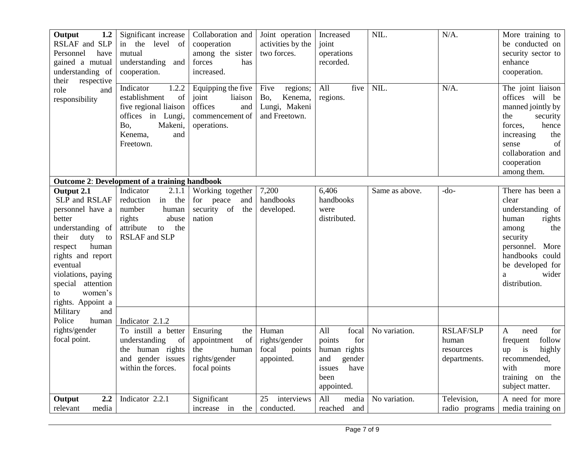| Output<br>1.2<br>RSLAF and SLP<br>Personnel<br>have<br>gained a mutual<br>understanding of<br>their<br>respective<br>role<br>and<br>responsibility                                                                                         | Significant increase<br>in the level of<br>mutual<br>understanding and<br>cooperation.                                                   | Collaboration and<br>cooperation<br>among the sister<br>forces<br>has<br>increased.        | Joint operation<br>activities by the<br>two forces.                  | Increased<br>joint<br>operations<br>recorded.                                                          | NIL.           | $N/A$ .                                                | More training to<br>be conducted on<br>security sector to<br>enhance<br>cooperation.                                                                                                     |
|--------------------------------------------------------------------------------------------------------------------------------------------------------------------------------------------------------------------------------------------|------------------------------------------------------------------------------------------------------------------------------------------|--------------------------------------------------------------------------------------------|----------------------------------------------------------------------|--------------------------------------------------------------------------------------------------------|----------------|--------------------------------------------------------|------------------------------------------------------------------------------------------------------------------------------------------------------------------------------------------|
|                                                                                                                                                                                                                                            | Indicator<br>1.2.2<br>establishment<br>of<br>five regional liaison<br>offices in Lungi,<br>Bo,<br>Makeni,<br>Kenema,<br>and<br>Freetown. | Equipping the five<br>joint<br>liaison<br>offices<br>and<br>commencement of<br>operations. | Five<br>regions;<br>Bo,<br>Kenema,<br>Lungi, Makeni<br>and Freetown. | All<br>five<br>regions.                                                                                | NIL.           | $N/A$ .                                                | The joint liaison<br>offices will be<br>manned jointly by<br>the<br>security<br>hence<br>forces,<br>increasing<br>the<br>of<br>sense<br>collaboration and<br>cooperation<br>among them.  |
|                                                                                                                                                                                                                                            | <b>Outcome 2: Development of a training handbook</b>                                                                                     |                                                                                            |                                                                      |                                                                                                        |                |                                                        |                                                                                                                                                                                          |
| Output 2.1<br>SLP and RSLAF<br>personnel have a<br>better<br>understanding of<br>duty<br>their<br>to<br>human<br>respect<br>rights and report<br>eventual<br>violations, paying<br>special attention<br>women's<br>to<br>rights. Appoint a | Indicator<br>2.1.1<br>in the<br>reduction<br>number<br>human<br>abuse<br>rights<br>to the<br>attribute<br><b>RSLAF</b> and SLP           | Working together<br>for peace<br>and<br>security of<br>the<br>nation                       | 7,200<br>handbooks<br>developed.                                     | 6,406<br>handbooks<br>were<br>distributed.                                                             | Same as above. | $-do-$                                                 | There has been a<br>clear<br>understanding of<br>human<br>rights<br>the<br>among<br>security<br>personnel.<br>More<br>handbooks could<br>be developed for<br>wider<br>a<br>distribution. |
| and<br>Military<br>Police<br>human                                                                                                                                                                                                         | Indicator 2.1.2                                                                                                                          |                                                                                            |                                                                      |                                                                                                        |                |                                                        |                                                                                                                                                                                          |
| rights/gender<br>focal point.                                                                                                                                                                                                              | To instill a better<br>understanding<br>of<br>the human rights<br>and gender issues<br>within the forces.                                | Ensuring<br>the<br>of<br>appointment<br>the<br>human<br>rights/gender<br>focal points      | Human<br>rights/gender<br>focal<br>points<br>appointed.              | All<br>focal<br>for<br>points<br>human rights<br>and<br>gender<br>have<br>issues<br>been<br>appointed. | No variation.  | <b>RSLAF/SLP</b><br>human<br>resources<br>departments. | for<br>$\mathbf{A}$<br>need<br>follow<br>frequent<br>highly<br>is<br>up<br>recommended,<br>with<br>more<br>training on the<br>subject matter.                                            |
| 2,2<br>Output<br>media<br>relevant                                                                                                                                                                                                         | Indicator 2.2.1                                                                                                                          | Significant<br>increase in the                                                             | 25<br>interviews<br>conducted.                                       | All<br>media<br>reached<br>and                                                                         | No variation.  | Television,<br>radio programs                          | A need for more<br>media training on                                                                                                                                                     |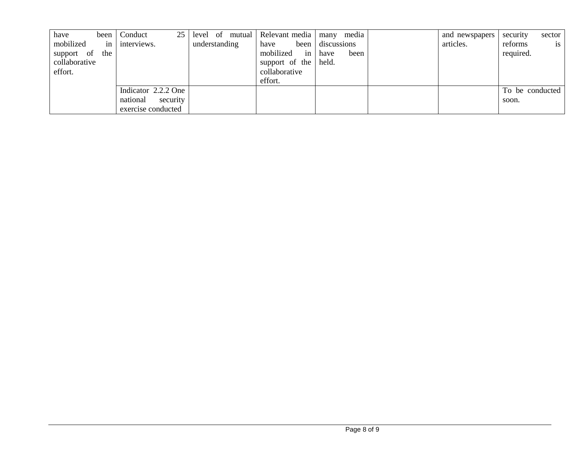| have          | been             | 25 <sub>1</sub><br>Conduct | level of mutual Relevant media many |                 | media        | and newspapers | sector<br>security |
|---------------|------------------|----------------------------|-------------------------------------|-----------------|--------------|----------------|--------------------|
| mobilized     | $\frac{1}{2}$ in | interviews.                | understanding                       | have<br>been    | discussions  | articles.      | is<br>reforms      |
| support of    | the              |                            |                                     | mobilized<br>in | have<br>been |                | required.          |
| collaborative |                  |                            |                                     | support of the  | held.        |                |                    |
| effort.       |                  |                            |                                     | collaborative   |              |                |                    |
|               |                  |                            |                                     | effort.         |              |                |                    |
|               |                  | Indicator 2.2.2 One        |                                     |                 |              |                | To be conducted    |
|               |                  | national<br>security       |                                     |                 |              |                | soon.              |
|               |                  | exercise conducted         |                                     |                 |              |                |                    |